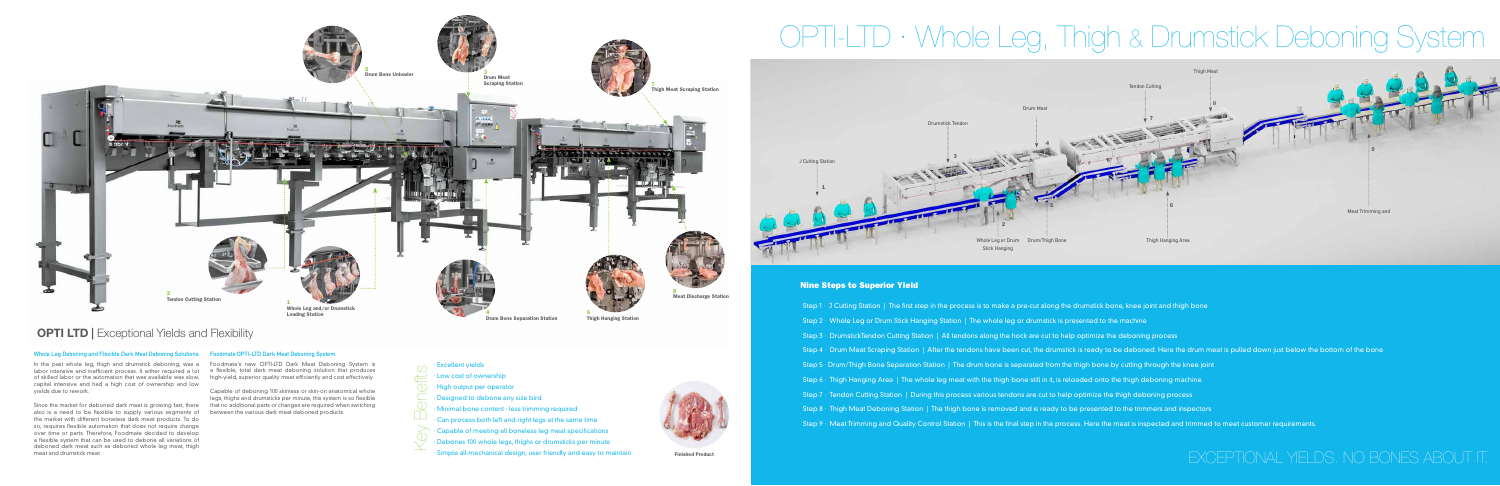of skilled labor or the automation that was available was slow, high-yield, superior quality meat efficiently and cost effectively. capital intensive and had a high cost of ownership and low yields due to rework.

### **Whole Leg Deboning and Flexible Dark Meat Deboning Solutions Foodmate OPTI-LTD Dark Meat Deboning System**

In the past whole leg, thigh and drumstick deboning, was a Foodmate's new OPTI-LTD Dark Meat Deboning System is labor intensive and inefficient process. It either required a lot a flexible, total dark meat deboning solution that produces

also is a need to be flexible to supply various segments of between the various dark meat deboned products. the market with different boneless dark meat products. To do so, requires flexible automation that does not require change over time or parts. Therefore, Foodmate decided to develop a flexible system that can be used to debone all variations of deboned dark meat such as deboned whole leg meat, thigh meat and drumstick meat

· Excellent yields · Low cost of ownership · High output per operator · Designed to debone any size bird · Minimal bone content - less trimming required · Can process both left and right legs at the same time · Capable of meeting all boneless leg meat specifications · Debones 100 whole legs, thighs or drumsticks per minute Simple all-mechanical design, user friendly and easy to maintain Finished Product

Since the market for deboned dark meat is growing fast, there that no additional parts or changes are required when switching Capable of deboning 100 skinless or skin-on anatomical whole legs, thighs and drumsticks per minute, this system is so flexible



## **OPTI LTD | Exceptional Yields and Flexibility**

Key Benefits

Thigh Hanging Station





Step 2 · Whole Leg or Drum Stick Hanging Station | The whole leg or drumstick is presented to the machine Step 3 · DrumstickTendon Cutting Station | All tendons along the hock are cut to help optimize the deboning process Step 4 · Drum Meat Scraping Station | After the tendons have been cut, the drumstick is ready to be deboned. Here the drum meat is pulled down just below the bottom of the bone Step 5 · Drum/Thigh Bone Separation Station | The drum bone is separated from the thigh bone by cutting through the knee joint Step 6 · Thigh Hanging Area | The whole leg meat with the thigh bone still in it, is reloaded onto the thigh deboning machine Step 7 · Tendon Cutting Station | During this process various tendons are cut to help optimize the thigh deboning process Step 8 · Thigh Meat Deboning Station | The thigh bone is removed and is ready to be presented to the trimmers and inspectors Step 9 · Meat Trimming and Quality Control Station | This is the final step in the process. Here the meat is inspected and trimmed to meet customer requirements.

- 
- 
- 
- 
- 
- 
- 
- 
- 

# EXCEPTIONAL YIELDS. NO BONES ABOUT IT.